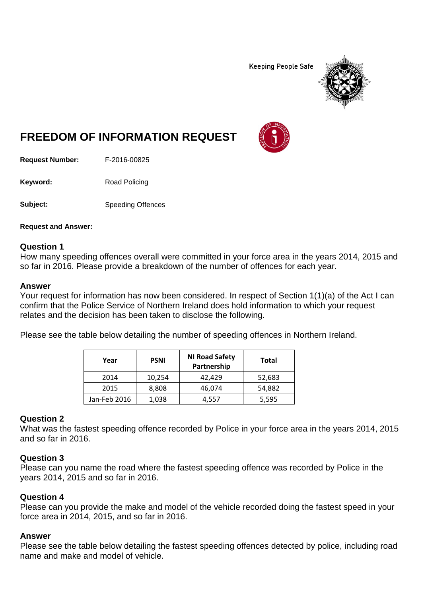**Keeping People Safe** 



# **FREEDOM OF INFORMATION REQUEST**

**Request Number:** F-2016-00825

Keyword: Road Policing

**Subject:** Speeding Offences

**Request and Answer:**

### **Question 1**

How many speeding offences overall were committed in your force area in the years 2014, 2015 and so far in 2016. Please provide a breakdown of the number of offences for each year.

#### **Answer**

Your request for information has now been considered. In respect of Section 1(1)(a) of the Act I can confirm that the Police Service of Northern Ireland does hold information to which your request relates and the decision has been taken to disclose the following.

Please see the table below detailing the number of speeding offences in Northern Ireland.

| Year         | <b>PSNI</b> | <b>NI Road Safety</b><br>Partnership | <b>Total</b> |
|--------------|-------------|--------------------------------------|--------------|
| 2014         | 10,254      | 42,429                               | 52,683       |
| 2015         | 8,808       | 46,074                               | 54,882       |
| Jan-Feb 2016 | 1,038       | 4,557                                | 5,595        |

### **Question 2**

What was the fastest speeding offence recorded by Police in your force area in the years 2014, 2015 and so far in 2016.

## **Question 3**

Please can you name the road where the fastest speeding offence was recorded by Police in the years 2014, 2015 and so far in 2016.

### **Question 4**

Please can you provide the make and model of the vehicle recorded doing the fastest speed in your force area in 2014, 2015, and so far in 2016.

### **Answer**

Please see the table below detailing the fastest speeding offences detected by police, including road name and make and model of vehicle.